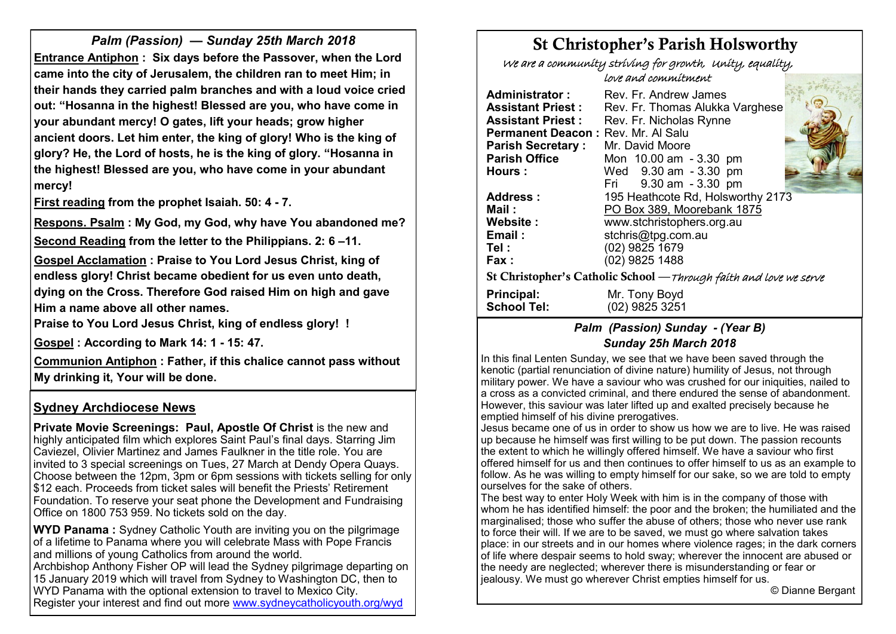*Palm (Passion) — Sunday 25th March 2018* **Entrance Antiphon : Six days before the Passover, when the Lord came into the city of Jerusalem, the children ran to meet Him; in their hands they carried palm branches and with a loud voice cried out: "Hosanna in the highest! Blessed are you, who have come in your abundant mercy! O gates, lift your heads; grow higher ancient doors. Let him enter, the king of glory! Who is the king of glory? He, the Lord of hosts, he is the king of glory. "Hosanna in the highest! Blessed are you, who have come in your abundant mercy!**

**First reading from the prophet Isaiah. 50: 4 - 7.**

**Respons. Psalm : My God, my God, why have You abandoned me? Second Reading from the letter to the Philippians. 2: 6 –11.**

**Gospel Acclamation : Praise to You Lord Jesus Christ, king of endless glory! Christ became obedient for us even unto death, dying on the Cross. Therefore God raised Him on high and gave Him a name above all other names.** 

**Praise to You Lord Jesus Christ, king of endless glory! !** 

**Gospel : According to Mark 14: 1 - 15: 47.**

**Communion Antiphon : Father, if this chalice cannot pass without My drinking it, Your will be done.**

# **Sydney Archdiocese News**

**Private Movie Screenings: Paul, Apostle Of Christ** is the new and highly anticipated film which explores Saint Paul's final days. Starring Jim Caviezel, Olivier Martinez and James Faulkner in the title role. You are invited to 3 special screenings on Tues, 27 March at Dendy Opera Quays. Choose between the 12pm, 3pm or 6pm sessions with tickets selling for only \$12 each. Proceeds from ticket sales will benefit the Priests' Retirement Foundation. To reserve your seat phone the Development and Fundraising Office on 1800 753 959. No tickets sold on the day.

**WYD Panama :** Sydney Catholic Youth are inviting you on the pilgrimage of a lifetime to Panama where you will celebrate Mass with Pope Francis and millions of young Catholics from around the world.

Archbishop Anthony Fisher OP will lead the Sydney pilgrimage departing on 15 January 2019 which will travel from Sydney to Washington DC, then to WYD Panama with the optional extension to travel to Mexico City. Register your interest and find out more [www.sydneycatholicyouth.org/wyd](http://www.sydneycatholicyouth.org/wyd)

# St Christopher's Parish Holsworthy

We are a community striving for growth, Unity, equality,

love and commitment

| Rev. Fr. Andrew James                                              |  |
|--------------------------------------------------------------------|--|
| Rev. Fr. Thomas Alukka Varghese                                    |  |
| Rev. Fr. Nicholas Rynne                                            |  |
| Permanent Deacon: Rev. Mr. Al Salu                                 |  |
| Mr. David Moore                                                    |  |
| Mon 10.00 am - 3.30 pm                                             |  |
| Wed 9.30 am - 3.30 pm                                              |  |
| Fri 9.30 am - 3.30 pm                                              |  |
| 195 Heathcote Rd, Holsworthy 2173                                  |  |
| PO Box 389, Moorebank 1875                                         |  |
| www.stchristophers.org.au                                          |  |
| stchris@tpg.com.au                                                 |  |
| (02) 9825 1679                                                     |  |
| (02) 9825 1488                                                     |  |
| St Christopher's Catholic School — Through faith and love we serve |  |
| Mr. Tony Boyd                                                      |  |
| (02) 9825 3251                                                     |  |
|                                                                    |  |

# *Palm (Passion) Sunday - (Year B) Sunday 25h March 2018*

In this final Lenten Sunday, we see that we have been saved through the kenotic (partial renunciation of divine nature) humility of Jesus, not through military power. We have a saviour who was crushed for our iniquities, nailed to a cross as a convicted criminal, and there endured the sense of abandonment. However, this saviour was later lifted up and exalted precisely because he emptied himself of his divine prerogatives.

Jesus became one of us in order to show us how we are to live. He was raised up because he himself was first willing to be put down. The passion recounts the extent to which he willingly offered himself. We have a saviour who first offered himself for us and then continues to offer himself to us as an example to follow. As he was willing to empty himself for our sake, so we are told to empty ourselves for the sake of others.

The best way to enter Holy Week with him is in the company of those with whom he has identified himself: the poor and the broken; the humiliated and the marginalised; those who suffer the abuse of others; those who never use rank to force their will. If we are to be saved, we must go where salvation takes place: in our streets and in our homes where violence rages; in the dark corners of life where despair seems to hold sway; wherever the innocent are abused or the needy are neglected; wherever there is misunderstanding or fear or jealousy. We must go wherever Christ empties himself for us.

© Dianne Bergant